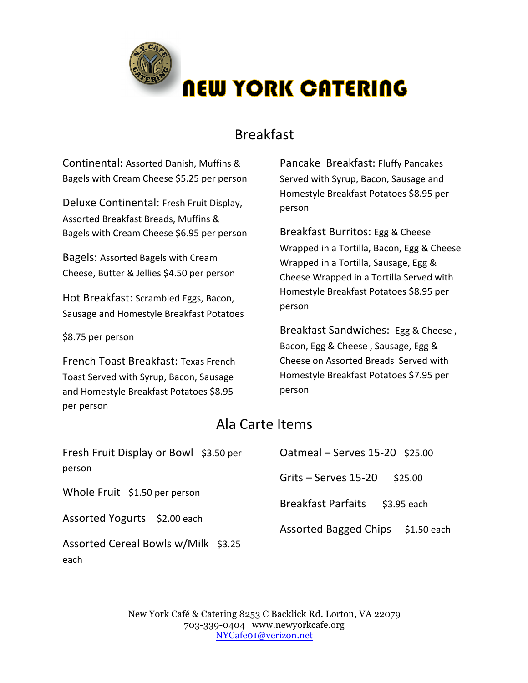

## Breakfast

Continental: Assorted Danish, Muffins & Bagels with Cream Cheese \$5.25 per person

Deluxe Continental: Fresh Fruit Display, Assorted Breakfast Breads, Muffins & Bagels with Cream Cheese \$6.95 per person

Bagels: Assorted Bagels with Cream Cheese, Butter & Jellies \$4.50 per person

Hot Breakfast: Scrambled Eggs, Bacon, Sausage and Homestyle Breakfast Potatoes

\$8.75 per person

each

French Toast Breakfast: Texas French Toast Served with Syrup, Bacon, Sausage and Homestyle Breakfast Potatoes \$8.95 per person

Pancake Breakfast: Fluffy Pancakes Served with Syrup, Bacon, Sausage and Homestyle Breakfast Potatoes \$8.95 per person

Breakfast Burritos: Egg & Cheese Wrapped in a Tortilla, Bacon, Egg & Cheese Wrapped in a Tortilla, Sausage, Egg & Cheese Wrapped in a Tortilla Served with Homestyle Breakfast Potatoes \$8.95 per person

Breakfast Sandwiches: Egg & Cheese, Bacon, Egg & Cheese, Sausage, Egg & Cheese on Assorted Breads Served with Homestyle Breakfast Potatoes \$7.95 per person

## Ala Carte Items

| Fresh Fruit Display or Bowl \$3.50 per | Oatmeal - Serves 15-20 \$25.00              |
|----------------------------------------|---------------------------------------------|
| person                                 | Grits - Serves 15-20<br>\$25.00             |
| Whole Fruit \$1.50 per person          | <b>Breakfast Parfaits</b><br>$$3.95$ each   |
| Assorted Yogurts \$2.00 each           | <b>Assorted Bagged Chips</b><br>\$1.50 each |
| Assorted Cereal Bowls w/Milk \$3.25    |                                             |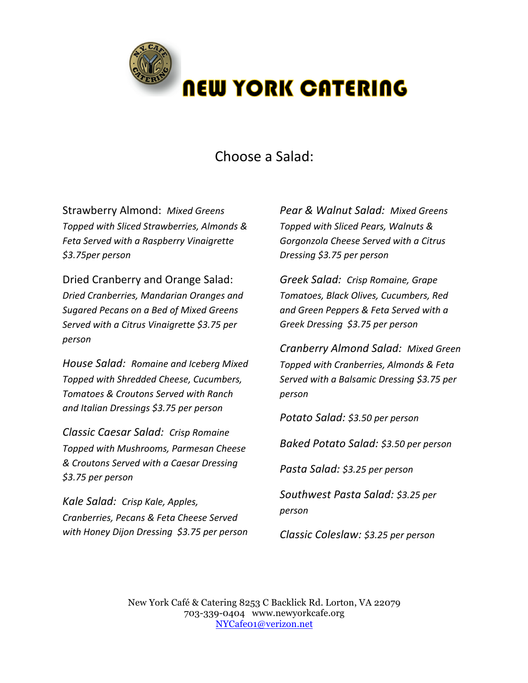

# Choose a Salad:

Strawberry Almond: Mixed Greens *Topped with Sliced Strawberries, Almonds & Feta Served with a Raspberry Vinaigrette \$3.75per person*

Dried Cranberry and Orange Salad: *Dried Cranberries, Mandarian Oranges and Sugared Pecans on a Bed of Mixed Greens Served with a Citrus Vinaigrette \$3.75 per person*

*House Salad: Romaine and Iceberg Mixed Topped with Shredded Cheese, Cucumbers, Tomatoes & Croutons Served with Ranch and Italian Dressings \$3.75 per person*

*Classic Caesar Salad: Crisp Romaine Topped with Mushrooms, Parmesan Cheese & Croutons Served with a Caesar Dressing \$3.75 per person*

*Kale Salad: Crisp Kale, Apples, Cranberries, Pecans & Feta Cheese Served with Honey Dijon Dressing \$3.75 per person* *Pear & Walnut Salad: Mixed Greens Topped with Sliced Pears, Walnuts & Gorgonzola Cheese Served with a Citrus Dressing \$3.75 per person*

*Greek Salad: Crisp Romaine, Grape Tomatoes, Black Olives, Cucumbers, Red and Green Peppers & Feta Served with a Greek Dressing \$3.75 per person* 

*Cranberry Almond Salad: Mixed Green Topped with Cranberries, Almonds & Feta Served with a Balsamic Dressing \$3.75 per person*

*Potato Salad: \$3.50 per person*

*Baked Potato Salad: \$3.50 per person*

*Pasta Salad: \$3.25 per person*

*Southwest Pasta Salad: \$3.25 per person*

*Classic Coleslaw: \$3.25 per person*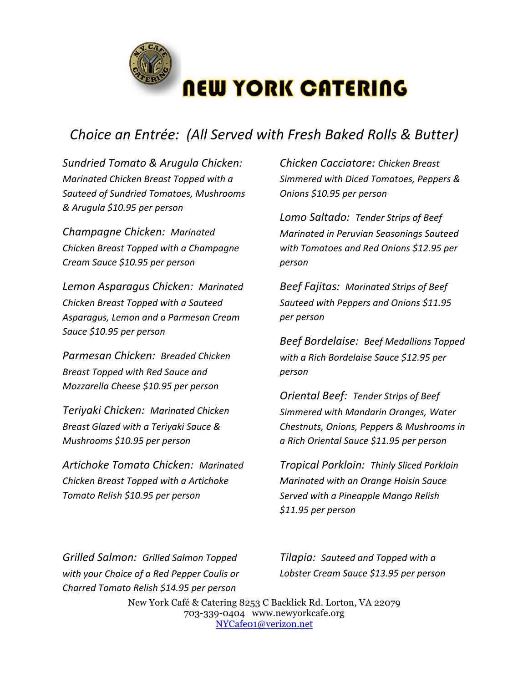

# *Choice an Entrée: (All Served with Fresh Baked Rolls & Butter)*

*Sundried Tomato & Arugula Chicken: Marinated Chicken Breast Topped with a Sauteed of Sundried Tomatoes, Mushrooms & Arugula \$10.95 per person*

*Champagne Chicken: Marinated Chicken Breast Topped with a Champagne Cream Sauce \$10.95 per person*

*Lemon Asparagus Chicken: Marinated Chicken Breast Topped with a Sauteed Asparagus, Lemon and a Parmesan Cream Sauce \$10.95 per person*

*Parmesan Chicken: Breaded Chicken Breast Topped with Red Sauce and Mozzarella Cheese \$10.95 per person*

*Teriyaki Chicken: Marinated Chicken Breast Glazed with a Teriyaki Sauce & Mushrooms \$10.95 per person*

*Artichoke Tomato Chicken: Marinated Chicken Breast Topped with a Artichoke Tomato Relish \$10.95 per person*

*Chicken Cacciatore: Chicken Breast Simmered with Diced Tomatoes, Peppers & Onions \$10.95 per person*

**Lomo Saltado: Tender Strips of Beef** *Marinated in Peruvian Seasonings Sauteed with Tomatoes and Red Onions \$12.95 per person*

**Beef Fajitas: Marinated Strips of Beef** *Sauteed with Peppers and Onions \$11.95 per person*

*Beef Bordelaise: Beef Medallions Topped with a Rich Bordelaise Sauce* \$12.95 per *person*

*Oriental Beef: Tender Strips of Beef Simmered with Mandarin Oranges, Water Chestnuts, Onions, Peppers & Mushrooms in a Rich Oriental Sauce \$11.95 per person*

*Tropical Porkloin: Thinly Sliced Porkloin Marinated with an Orange Hoisin Sauce Served with a Pineapple Mango Relish \$11.95 per person*

*Grilled Salmon: Grilled Salmon Topped with your Choice of a Red Pepper Coulis or Charred Tomato Relish \$14.95 per person*

*Tilapia: Sauteed and Topped with a Lobster Cream Sauce \$13.95 per person*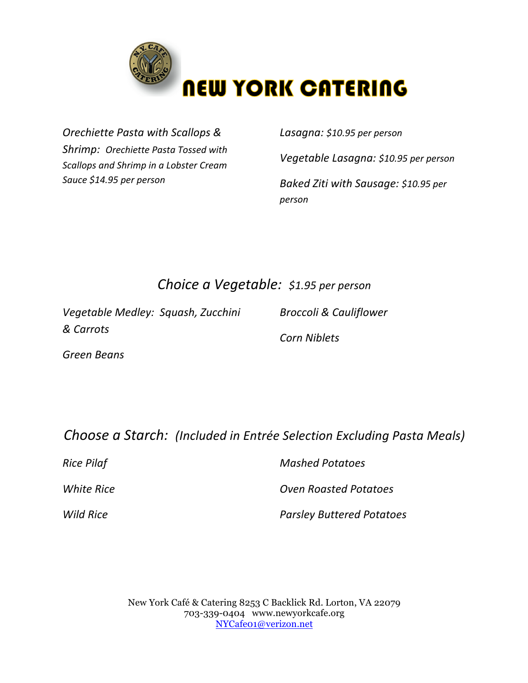

**Orechiette Pasta with Scallops &** *Shrimp: Orechiette Pasta Tossed with* **Scallops and Shrimp in a Lobster Cream** *Sauce \$14.95 per person*

*Lasagna: \$10.95 per person*

*Vegetable Lasagna: \$10.95 per person*

*Baked Ziti with Sausage: \$10.95 per person*

## *Choice a Vegetable: \$1.95 per person*

*Vegetable Medley: Squash, Zucchini & Carrots*

*Broccoli & Cauliflower*

*Green Beans*

*Corn Niblets*

**Choose a Starch:** (Included in Entrée Selection Excluding Pasta Meals)

| Rice Pilaf       | <b>Mashed Potatoes</b>           |  |
|------------------|----------------------------------|--|
| White Rice       | <b>Oven Roasted Potatoes</b>     |  |
| <b>Wild Rice</b> | <b>Parsley Buttered Potatoes</b> |  |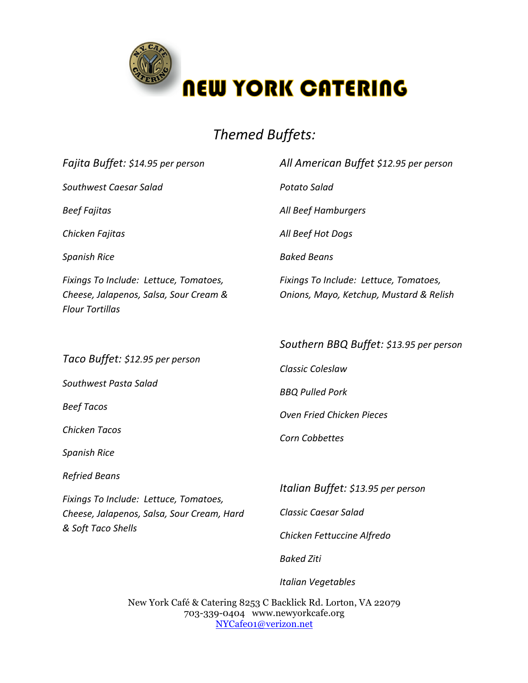

# *Themed Buffets:*

| Fajita Buffet: \$14.95 per person                                                                          | All American Buffet \$12.95 per person                                                          |
|------------------------------------------------------------------------------------------------------------|-------------------------------------------------------------------------------------------------|
| Southwest Caesar Salad                                                                                     | <b>Potato Salad</b>                                                                             |
| <b>Beef Fajitas</b>                                                                                        | All Beef Hamburgers                                                                             |
| Chicken Fajitas                                                                                            | All Beef Hot Dogs                                                                               |
| <b>Spanish Rice</b>                                                                                        | <b>Baked Beans</b>                                                                              |
| Fixings To Include: Lettuce, Tomatoes,<br>Cheese, Jalapenos, Salsa, Sour Cream &<br><b>Flour Tortillas</b> | Fixings To Include: Lettuce, Tomatoes,<br>Onions, Mayo, Ketchup, Mustard & Relish               |
| Taco Buffet: \$12.95 per person                                                                            | Southern BBQ Buffet: \$13.95 per person                                                         |
| Southwest Pasta Salad<br><b>Beef Tacos</b>                                                                 | Classic Coleslaw<br><b>BBQ Pulled Pork</b>                                                      |
|                                                                                                            | Oven Fried Chicken Pieces                                                                       |
| Chicken Tacos                                                                                              | Corn Cobbettes                                                                                  |
| <b>Spanish Rice</b>                                                                                        |                                                                                                 |
| <b>Refried Beans</b>                                                                                       |                                                                                                 |
| Fixings To Include: Lettuce, Tomatoes,<br>Cheese, Jalapenos, Salsa, Sour Cream, Hard<br>& Soft Taco Shells | Italian Buffet: \$13.95 per person<br><b>Classic Caesar Salad</b><br>Chicken Fettuccine Alfredo |
|                                                                                                            | <b>Baked Ziti</b>                                                                               |

New York Café & Catering 8253 C Backlick Rd. Lorton, VA 22079 703-339-0404 www.newyorkcafe.org NYCafe01@verizon.net

*Italian Vegetables*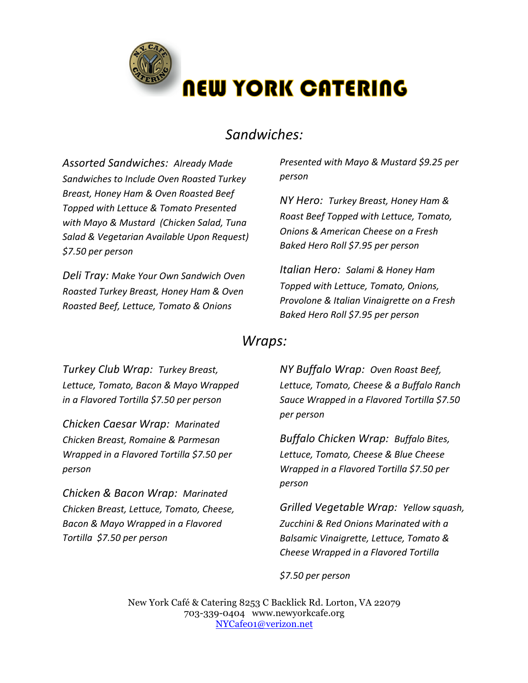

## *Sandwiches:*

*Assorted Sandwiches: Already Made*  **Sandwiches to Include Oven Roasted Turkey** *Breast, Honey Ham & Oven Roasted Beef Topped with Lettuce & Tomato Presented with Mayo & Mustard (Chicken Salad, Tuna Salad & Vegetarian Available Upon Request) \$7.50 per person*

*Deli Tray: Make Your Own Sandwich Oven Roasted Turkey Breast, Honey Ham & Oven Roasted Beef, Lettuce, Tomato & Onions* 

*Presented with Mayo & Mustard \$9.25 per person*

*NY Hero: Turkey Breast, Honey Ham & Roast Beef Topped with Lettuce, Tomato, Onions & American Cheese on a Fresh Baked Hero Roll \$7.95 per person*

*Italian Hero: Salami & Honey Ham Topped with Lettuce, Tomato, Onions, Provolone & Italian Vinaigrette on a Fresh Baked Hero Roll \$7.95 per person*

#### *Wraps:*

*Turkey Club Wrap: Turkey Breast,*  Lettuce, Tomato, Bacon & Mayo Wrapped *in a Flavored Tortilla \$7.50 per person*

*Chicken Caesar Wrap: Marinated Chicken Breast, Romaine & Parmesan Wrapped in a Flavored Tortilla* \$7.50 per *person*

*Chicken & Bacon Wrap: Marinated Chicken Breast, Lettuce, Tomato, Cheese, Bacon & Mayo Wrapped in a Flavored Tortilla \$7.50 per person*

*NY Buffalo Wrap: Oven Roast Beef,*  Lettuce, Tomato, Cheese & a Buffalo Ranch *Sauce Wrapped in a Flavored Tortilla \$7.50 per person*

*Buffalo Chicken Wrap: Buffalo Bites,*  Lettuce, Tomato, Cheese & Blue Cheese *Wrapped in a Flavored Tortilla* \$7.50 per *person*

*Grilled Vegetable Wrap: Yellow squash, Zucchini & Red Onions Marinated with a Balsamic Vinaigrette, Lettuce, Tomato & Cheese Wrapped in a Flavored Tortilla*

*\$7.50 per person*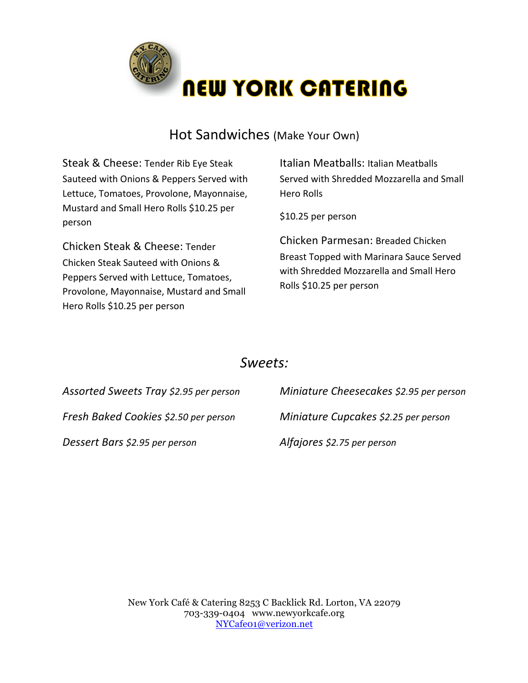

## Hot Sandwiches (Make Your Own)

Steak & Cheese: Tender Rib Eye Steak Sauteed with Onions & Peppers Served with Lettuce, Tomatoes, Provolone, Mayonnaise, Mustard and Small Hero Rolls \$10.25 per person

Chicken Steak & Cheese: Tender Chicken Steak Sauteed with Onions & Peppers Served with Lettuce, Tomatoes, Provolone, Mayonnaise, Mustard and Small Hero Rolls \$10.25 per person

Italian Meatballs: Italian Meatballs Served with Shredded Mozzarella and Small Hero Rolls

\$10.25 per person

Chicken Parmesan: Breaded Chicken Breast Topped with Marinara Sauce Served with Shredded Mozzarella and Small Hero Rolls \$10.25 per person

### *Sweets:*

| Assorted Sweets Tray \$2.95 per person | Miniature Cheesecakes \$2.95 per person |
|----------------------------------------|-----------------------------------------|
| Fresh Baked Cookies \$2.50 per person  | Miniature Cupcakes \$2.25 per person    |
| Dessert Bars \$2.95 per person         | Alfajores \$2.75 per person             |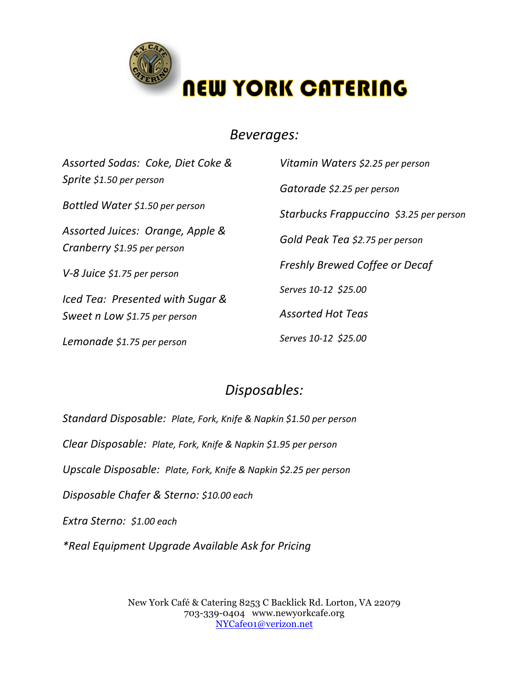

#### *Beverages:*

| Assorted Sodas: Coke, Diet Coke &                               | Vitamin Waters \$2.25 per person        |
|-----------------------------------------------------------------|-----------------------------------------|
| Sprite \$1.50 per person                                        | Gatorade \$2.25 per person              |
| Bottled Water \$1.50 per person                                 | Starbucks Frappuccino \$3.25 per person |
| Assorted Juices: Orange, Apple &<br>Cranberry \$1.95 per person | Gold Peak Tea \$2.75 per person         |
| V-8 Juice \$1.75 per person                                     | <b>Freshly Brewed Coffee or Decaf</b>   |
| Iced Tea: Presented with Sugar &                                | Serves 10-12 \$25.00                    |
| Sweet n Low \$1.75 per person                                   | <b>Assorted Hot Teas</b>                |
| Lemonade \$1.75 per person                                      | Serves 10-12 \$25.00                    |

## *Disposables:*

*Standard Disposable: Plate, Fork, Knife & Napkin \$1.50 per person Clear Disposable: Plate, Fork, Knife & Napkin \$1.95 per person Upscale Disposable: Plate, Fork, Knife & Napkin \$2.25 per person Disposable Chafer & Sterno: \$10.00 each Extra Sterno: \$1.00 each \*Real Equipment Upgrade Available Ask for Pricing*